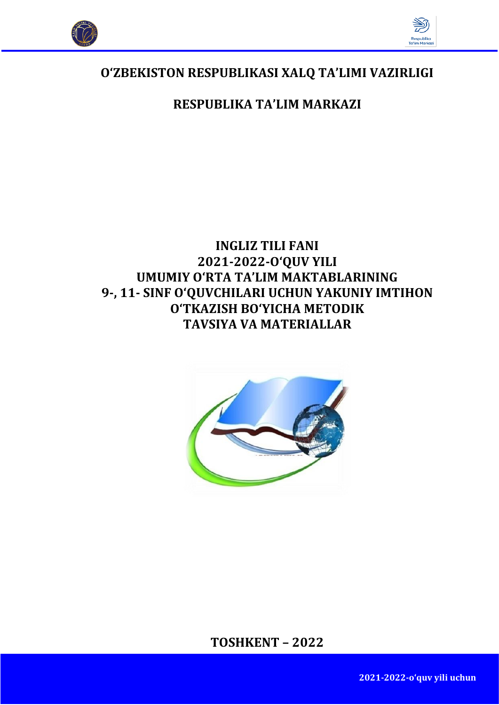



# **O'ZBEKISTОN RESPUBLIKАSI ХАLQ TА'LIMI VАZIRLIGI**

# **RESPUBLIKА TА'LIM MАRKАZI**

# **INGLIZ TILI FАNI 2021-2022-O'QUV YILI UMUMIY O'RTА TА'LIM MАKTАBLАRINING 9-, 11- SINF O'QUVCHILАRI UCHUN YAKUNIY IMTIHON O'TKAZISH BO'YICHA METODIK TAVSIYA VA MАTЕRIАLLАR**



**TOSHKENT – 2022**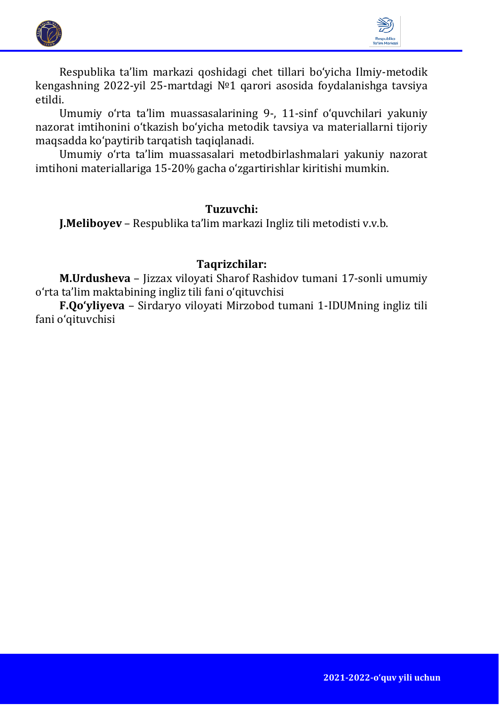



Respublika ta'lim markazi qoshidagi chet tillari bo'yicha Ilmiy-metodik kengashning 2022-yil 25-martdagi №1 qarori asosida foydalanishga tavsiya etildi.

Umumiy o'rta ta'lim muassasalarining 9-, 11-sinf oʻquvchilari yakuniy nazorat imtihonini o'tkazish bo'yicha metodik tavsiya va materiallarni tijoriy maqsadda kоʻpaytirib tarqatish taqiqlanadi.

Umumiy o'rta ta'lim muassasalari metodbirlashmalari yakuniy nazorat imtihoni materiallariga 15-20% gacha оʻzgartirishlar kiritishi mumkin.

# **Tuzuvchi:**

**J.Meliboyev** – Respublika ta'lim markazi Ingliz tili metodisti v.v.b.

# **Taqrizchilar:**

**M.Urdusheva** – Jizzax viloyati Sharof Rashidov tumani 17-sonli umumiy o'rta ta'lim maktabining ingliz tili fani o'qituvchisi

**F.Qo'yliyeva** – Sirdaryo viloyati Mirzobod tumani 1-IDUMning ingliz tili fani o'qituvchisi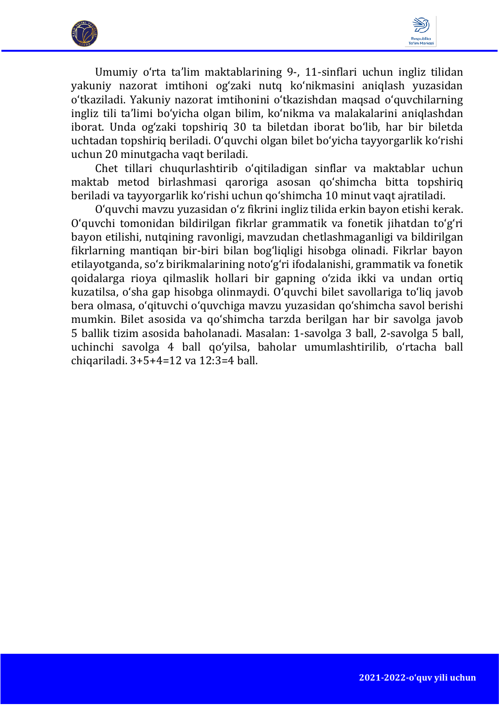



Umumiy o'rta ta'lim maktablarining 9-, 11-sinflari uchun ingliz tilidan yakuniy nazorat imtihoni og'zaki nutq ko'nikmasini aniqlash yuzasidan o'tkaziladi. Yakuniy nazorat imtihonini o'tkazishdan maqsad o'quvchilarning ingliz tili ta'limi bo'yicha olgan bilim, ko'nikma va malakalarini aniqlashdan iborat. Unda og'zaki topshiriq 30 ta biletdan iborat bo'lib, har bir biletda uchtadan topshiriq beriladi. O'quvchi olgan bilet bo'yicha tayyorgarlik ko'rishi uchun 20 minutgacha vaqt beriladi.

Chet tillari chuqurlashtirib o'qitiladigan sinflar va maktablar uchun maktab metod birlashmasi qaroriga asosan qo'shimcha bitta topshiriq beriladi va tayyorgarlik ko'rishi uchun qo'shimcha 10 minut vaqt ajratiladi.

O'quvchi mavzu yuzasidan o'z fikrini ingliz tilida erkin bayon etishi kerak. O'quvchi tomonidan bildirilgan fikrlar grammatik va fonetik jihatdan to'g'ri bayon etilishi, nutqining ravonligi, mavzudan chetlashmaganligi va bildirilgan fikrlarning mantiqan bir-biri bilan bog'liqligi hisobga olinadi. Fikrlar bayon etilayotganda, so'z birikmalarining noto'g'ri ifodalanishi, grammatik va fonetik qoidalarga rioya qilmaslik hollari bir gapning o'zida ikki va undan ortiq kuzatilsa, o'sha gap hisobga olinmaydi. O'quvchi bilet savollariga to'liq javob bera olmasa, o'qituvchi o'quvchiga mavzu yuzasidan qo'shimcha savol berishi mumkin. Bilet asosida va qo'shimcha tarzda berilgan har bir savolga javob 5 ballik tizim asosida baholanadi. Masalan: 1-savolga 3 ball, 2-savolga 5 ball, uchinchi savolga 4 ball qo'yilsa, baholar umumlashtirilib, o'rtacha ball chiqariladi. 3+5+4=12 va 12:3=4 ball.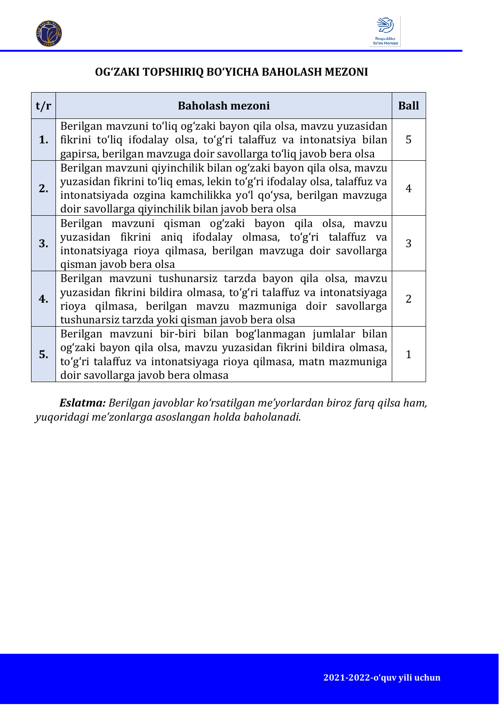



# **OG'ZAKI TOPSHIRIQ BO'YICHA BAHOLASH MEZONI**

| t/r | <b>Baholash mezoni</b>                                                                                                                                                                                                                                              | <b>Ball</b>    |
|-----|---------------------------------------------------------------------------------------------------------------------------------------------------------------------------------------------------------------------------------------------------------------------|----------------|
| 1.  | Berilgan mavzuni to'liq og'zaki bayon qila olsa, mavzu yuzasidan<br>fikrini to'liq ifodalay olsa, to'g'ri talaffuz va intonatsiya bilan<br>gapirsa, berilgan mavzuga doir savollarga to'liq javob bera olsa                                                         | 5              |
| 2.  | Berilgan mavzuni qiyinchilik bilan ogʻzaki bayon qila olsa, mavzu<br>yuzasidan fikrini to'liq emas, lekin to'g'ri ifodalay olsa, talaffuz va<br>intonatsiyada ozgina kamchilikka yoʻl qoʻysa, berilgan mavzuga<br>doir savollarga qiyinchilik bilan javob bera olsa | 4              |
| 3.  | Berilgan mavzuni qisman og'zaki bayon qila olsa, mavzu<br>yuzasidan fikrini aniq ifodalay olmasa, to'g'ri talaffuz va<br>intonatsiyaga rioya qilmasa, berilgan mavzuga doir savollarga<br>qisman javob bera olsa                                                    | 3              |
| 4.  | Berilgan mavzuni tushunarsiz tarzda bayon qila olsa, mavzu<br>yuzasidan fikrini bildira olmasa, to'g'ri talaffuz va intonatsiyaga<br>rioya qilmasa, berilgan mavzu mazmuniga doir savollarga<br>tushunarsiz tarzda yoki qisman javob bera olsa                      | $\overline{2}$ |
| 5.  | Berilgan mavzuni bir-biri bilan bog'lanmagan jumlalar bilan<br>og'zaki bayon qila olsa, mavzu yuzasidan fikrini bildira olmasa,<br>to'g'ri talaffuz va intonatsiyaga rioya qilmasa, matn mazmuniga<br>doir savollarga javob bera olmasa                             | 1              |

*Eslatma: Berilgan javoblar ko'rsatilgan me'yorlardan biroz farq qilsa ham, yuqoridagi me'zonlarga asoslangan holda baholanadi.*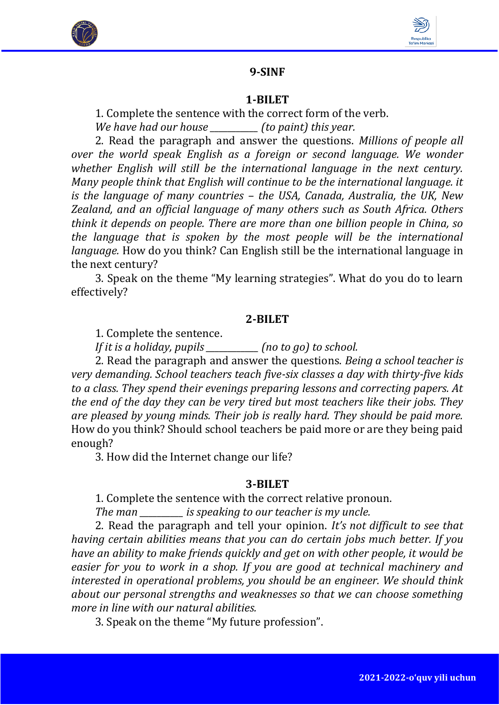



# **9-SINF**

#### **1-BILET**

1. Complete the sentence with the correct form of the verb.

*We have had our house \_\_\_\_\_\_\_\_\_\_\_ (to paint) this year.*

2. Read the paragraph and answer the questions. *Millions of people all over the world speak English as a foreign or second language. We wonder whether English will still be the international language in the next century. Many people think that English will continue to be the international language. it is the language of many countries – the USA, Canada, Australia, the UK, New Zealand, and an official language of many others such as South Africa. Others think it depends on people. There are more than one billion people in China, so the language that is spoken by the most people will be the international language.* How do you think? Can English still be the international language in the next century?

3. Speak on the theme "My learning strategies". What do you do to learn effectively?

#### **2-BILET**

1. Complete the sentence.

*If it is a holiday, pupils \_\_\_\_\_\_\_\_\_\_\_\_ (no to go) to school.*

2. Read the paragraph and answer the questions. *Being a school teacher is very demanding. School teachers teach five-six classes a day with thirty-five kids to a class. They spend their evenings preparing lessons and correcting papers. At the end of the day they can be very tired but most teachers like their jobs. They are pleased by young minds. Their job is really hard. They should be paid more.* How do you think? Should school teachers be paid more or are they being paid enough?

3. How did the Internet change our life?

#### **3-BILET**

1. Complete the sentence with the correct relative pronoun.

*The man \_\_\_\_\_\_\_\_\_\_ is speaking to our teacher is my uncle.* 

2. Read the paragraph and tell your opinion. *It's not difficult to see that having certain abilities means that you can do certain jobs much better. If you have an ability to make friends quickly and get on with other people, it would be easier for you to work in a shop. If you are good at technical machinery and interested in operational problems, you should be an engineer. We should think about our personal strengths and weaknesses so that we can choose something more in line with our natural abilities.*

3. Speak on the theme "My future profession".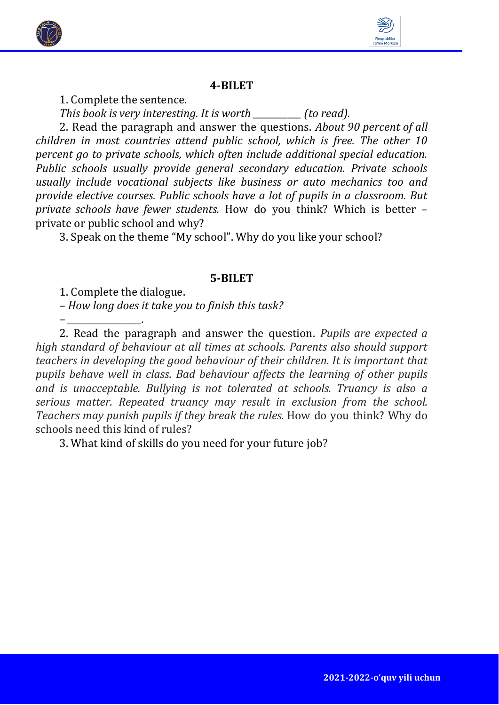



1. Complete the sentence.

*This book is very interesting. It is worth \_\_\_\_\_\_\_\_\_\_\_ (to read).* 

2. Read the paragraph and answer the questions. *About 90 percent of all children in most countries attend public school, which is free. The other 10 percent go to private schools, which often include additional special education. Public schools usually provide general secondary education. Private schools usually include vocational subjects like business or auto mechanics too and provide elective courses. Public schools have a lot of pupils in a classroom. But private schools have fewer students.* How do you think? Which is better – private or public school and why?

3. Speak on the theme "My school". Why do you like your school?

#### **5-BILET**

1. Complete the dialogue.

*– \_\_\_\_\_\_\_\_\_\_\_\_\_\_\_\_\_.*

*– How long does it take you to finish this task?*

2. Read the paragraph and answer the question. *Pupils are expected a high standard of behaviour at all times at schools. Parents also should support teachers in developing the good behaviour of their children. It is important that pupils behave well in class. Bad behaviour affects the learning of other pupils and is unacceptable. Bullying is not tolerated at schools. Truancy is also a serious matter. Repeated truancy may result in exclusion from the school. Teachers may punish pupils if they break the rules.* How do you think? Why do schools need this kind of rules?

3. What kind of skills do you need for your future job?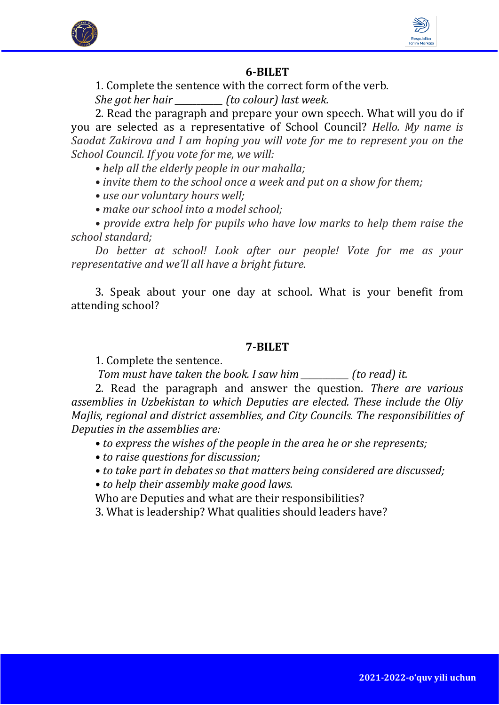



1. Complete the sentence with the correct form of the verb.

*She got her hair \_\_\_\_\_\_\_\_\_\_\_ (to colour) last week.*

2. Read the paragraph and prepare your own speech. What will you do if you are selected as a representative of School Council? *Hello. My name is Saodat Zakirova and I am hoping you will vote for me to represent you on the School Council. If you vote for me, we will:*

*• help all the elderly people in our mahalla;*

*• invite them to the school once a week and put on a show for them;*

*• use our voluntary hours well;*

*• make our school into a model school;*

*• provide extra help for pupils who have low marks to help them raise the school standard;*

*Do better at school! Look after our people! Vote for me as your representative and we'll all have a bright future.*

3. Speak about your one day at school. What is your benefit from attending school?

# **7-BILET**

1. Complete the sentence.

*Tom must have taken the book. I saw him \_\_\_\_\_\_\_\_\_\_\_ (to read) it.* 

2. Read the paragraph and answer the question. *There are various assemblies in Uzbekistan to which Deputies are elected. These include the Oliy Majlis, regional and district assemblies, and City Councils. The responsibilities of Deputies in the assemblies are:* 

- *to express the wishes of the people in the area he or she represents;*
- *to raise questions for discussion;*
- *to take part in debates so that matters being considered are discussed;*

*• to help their assembly make good laws.*

Who are Deputies and what are their responsibilities?

3. What is leadership? What qualities should leaders have?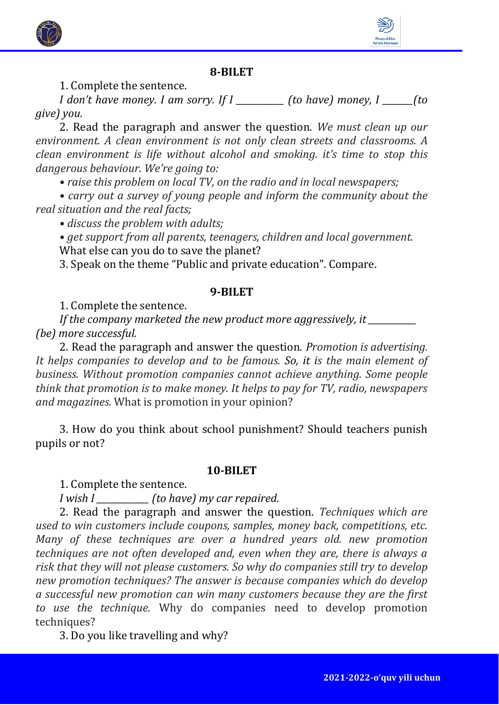

1. Complete the sentence.

*I don't have money. I am sorry. If I \_\_\_\_\_\_\_\_\_\_\_ (to have) money, I \_\_\_\_\_\_\_(to give) you.*

2. Read the paragraph and answer the question. *We must clean up our environment. A clean environment is not only clean streets and classrooms. A clean environment is life without alcohol and smoking. it's time to stop this dangerous behaviour. We're going to:*

*• raise this problem on local TV, on the radio and in local newspapers;*

*• carry out a survey of young people and inform the community about the real situation and the real facts;*

*• discuss the problem with adults;*

*• get support from all parents, teenagers, children and local government.* What else can you do to save the planet?

3. Speak on the theme "Public and private education". Compare.

# **9-BILET**

1. Complete the sentence.

*If the company marketed the new product more aggressively, it \_\_\_\_\_\_\_\_\_\_\_ (be) more successful.*

2. Read the paragraph and answer the question. *Promotion is advertising. It helps companies to develop and to be famous. So, it is the main element of business. Without promotion companies cannot achieve anything. Some people think that promotion is to make money. It helps to pay for TV, radio, newspapers and magazines.* What is promotion in your opinion?

3. How do you think about school punishment? Should teachers punish pupils or not?

# **10-BILET**

1. Complete the sentence.

*I wish I \_\_\_\_\_\_\_\_\_\_\_\_ (to have) my car repaired.* 

2. Read the paragraph and answer the question. *Techniques which are used to win customers include coupons, samples, money back, competitions, etc. Many of these techniques are over a hundred years old. new promotion techniques are not often developed and, even when they are, there is always a risk that they will not please customers. So why do companies still try to develop new promotion techniques? The answer is because companies which do develop a successful new promotion can win many customers because they are the first to use the technique.* Why do companies need to develop promotion techniques?

3. Do you like travelling and why?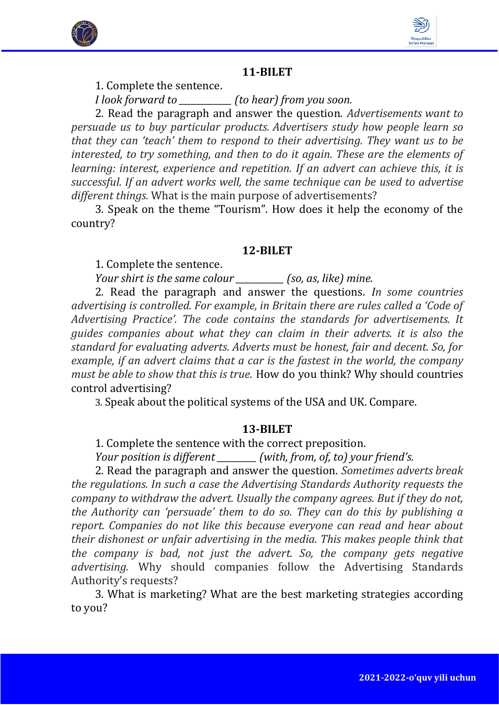



1. Complete the sentence.

*I look forward to \_\_\_\_\_\_\_\_\_\_\_\_ (to hear) from you soon.*

2. Read the paragraph and answer the question. *Advertisements want to persuade us to buy particular products. Advertisers study how people learn so that they can 'teach' them to respond to their advertising. They want us to be interested, to try something, and then to do it again. These are the elements of learning: interest, experience and repetition. If an advert can achieve this, it is successful. If an advert works well, the same technique can be used to advertise different things.* What is the main purpose of advertisements?

3. Speak on the theme "Tourism". How does it help the economy of the country?

#### **12-BILET**

1. Complete the sentence.

*Your shirt is the same colour* (so, as, like) mine.

2. Read the paragraph and answer the questions. *In some countries advertising is controlled. For example, in Britain there are rules called a 'Code of Advertising Practice'. The code contains the standards for advertisements. It guides companies about what they can claim in their adverts. it is also the standard for evaluating adverts. Adverts must be honest, fair and decent. So, for example, if an advert claims that a car is the fastest in the world, the company must be able to show that this is true.* How do you think? Why should countries control advertising?

3. Speak about the political systems of the USA and UK. Compare.

#### **13-BILET**

1. Complete the sentence with the correct preposition.

*Your position is different \_\_\_\_\_\_\_\_\_ (with, from, of, to) your friend's.* 

2. Read the paragraph and answer the question. *Sometimes adverts break the regulations. In such a case the Advertising Standards Authority requests the company to withdraw the advert. Usually the company agrees. But if they do not, the Authority can 'persuade' them to do so. They can do this by publishing a report. Companies do not like this because everyone can read and hear about their dishonest or unfair advertising in the media. This makes people think that the company is bad, not just the advert. So, the company gets negative advertising.* Why should companies follow the Advertising Standards Authority's requests?

3. What is marketing? What are the best marketing strategies according to you?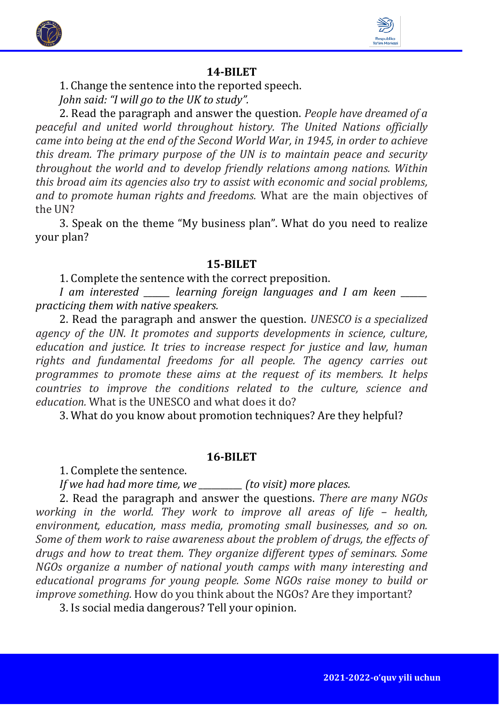



1. Change the sentence into the reported speech.

*John said: "I will go to the UK to study".*

2. Read the paragraph and answer the question. *People have dreamed of a peaceful and united world throughout history. The United Nations officially came into being at the end of the Second World War, in 1945, in order to achieve this dream. The primary purpose of the UN is to maintain peace and security throughout the world and to develop friendly relations among nations. Within this broad aim its agencies also try to assist with economic and social problems, and to promote human rights and freedoms.* What are the main objectives of the UN?

3. Speak on the theme "My business plan". What do you need to realize your plan?

#### **15-BILET**

1. Complete the sentence with the correct preposition.

*I am interested \_\_\_\_\_\_ learning foreign languages and I am keen \_\_\_\_\_\_ practicing them with native speakers.*

2. Read the paragraph and answer the question. *UNESCO is a specialized agency of the UN. It promotes and supports developments in science, culture, education and justice. It tries to increase respect for justice and law, human rights and fundamental freedoms for all people. The agency carries out programmes to promote these aims at the request of its members. It helps countries to improve the conditions related to the culture, science and education.* What is the UNESCO and what does it do?

3. What do you know about promotion techniques? Are they helpful?

#### **16-BILET**

1. Complete the sentence.

*If we had had more time, we \_\_\_\_\_\_\_\_\_\_ (to visit) more places.*

2. Read the paragraph and answer the questions. *There are many NGOs working in the world. They work to improve all areas of life - health, environment, education, mass media, promoting small businesses, and so on. Some of them work to raise awareness about the problem of drugs, the effects of drugs and how to treat them. They organize different types of seminars. Some NGOs organize a number of national youth camps with many interesting and educational programs for young people. Some NGOs raise money to build or improve something.* How do you think about the NGOs? Are they important?

3. Is social media dangerous? Tell your opinion.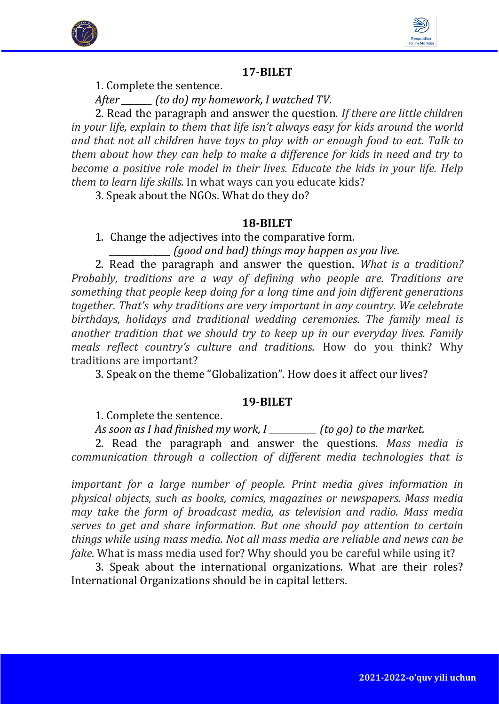



1. Complete the sentence.

*After \_\_\_\_\_\_\_ (to do) my homework, I watched TV.* 

2. Read the paragraph and answer the question. *If there are little children in your life, explain to them that life isn't always easy for kids around the world and that not all children have toys to play with or enough food to eat. Talk to them about how they can help to make a difference for kids in need and try to become a positive role model in their lives. Educate the kids in your life. Help them to learn life skills.* In what ways can you educate kids?

3. Speak about the NGOs. What do they do?

# **18-BILET**

1. Change the adjectives into the comparative form.

*\_\_\_\_\_\_\_\_\_\_\_\_\_\_ (good and bad) things may happen as you live.*

2. Read the paragraph and answer the question. *What is a tradition? Probably, traditions are a way of defining who people are. Traditions are something that people keep doing for a long time and join different generations together. That's why traditions are very important in any country. We celebrate birthdays, holidays and traditional wedding ceremonies. The family meal is another tradition that we should try to keep up in our everyday lives. Family meals reflect country's culture and traditions.* How do you think? Why traditions are important?

3. Speak on the theme "Globalization". How does it affect our lives?

# **19-BILET**

1. Complete the sentence.

*As soon as I had finished my work, I \_\_\_\_\_\_\_\_\_\_\_ (to go) to the market.*

2. Read the paragraph and answer the questions. *Mass media is communication through a collection of different media technologies that is* 

*important for a large number of people. Print media gives information in physical objects, such as books, comics, magazines or newspapers. Mass media may take the form of broadcast media, as television and radio. Mass media serves to get and share information. But one should pay attention to certain things while using mass media. Not all mass media are reliable and news can be fake.* What is mass media used for? Why should you be careful while using it?

3. Speak about the international organizations. What are their roles? International Organizations should be in capital letters.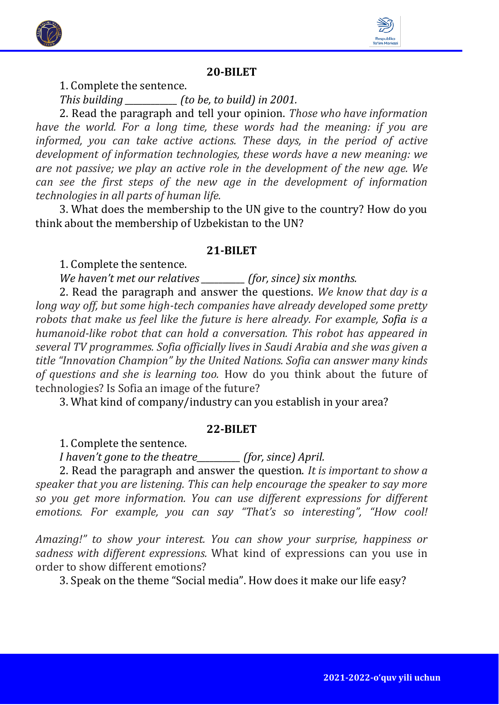



1. Complete the sentence.

*This building \_\_\_\_\_\_\_\_\_\_\_\_ (to be, to build) in 2001.*

2. Read the paragraph and tell your opinion. *Those who have information have the world. For a long time, these words had the meaning: if you are informed, you can take active actions. These days, in the period of active development of information technologies, these words have a new meaning: we are not passive; we play an active role in the development of the new age. We can see the first steps of the new age in the development of information technologies in all parts of human life.* 

3. What does the membership to the UN give to the country? How do you think about the membership of Uzbekistan to the UN?

#### **21-BILET**

1. Complete the sentence.

*We haven't met our relatives \_\_\_\_\_\_\_\_\_\_ (for, since) six months.*

2. Read the paragraph and answer the questions. *We know that day is a long way off, but some high-tech companies have already developed some pretty robots that make us feel like the future is here already. For example, Sofia is a humanoid-like robot that can hold a conversation. This robot has appeared in several TV programmes. Sofia officially lives in Saudi Arabia and she was given a title "Innovation Champion" by the United Nations. Sofia can answer many kinds of questions and she is learning too.* How do you think about the future of technologies? Is Sofia an image of the future?

3. What kind of company/industry can you establish in your area?

#### **22-BILET**

1. Complete the sentence.

*I haven't gone to the theatre\_\_\_\_\_\_\_\_\_\_ (for, since) April.*

2. Read the paragraph and answer the question. *It is important to show a speaker that you are listening. This can help encourage the speaker to say more so you get more information. You can use different expressions for different emotions. For example, you can say "That's so interesting", "How cool!* 

*Amazing!" to show your interest. You can show your surprise, happiness or sadness with different expressions.* What kind of expressions can you use in order to show different emotions?

3. Speak on the theme "Social media". How does it make our life easy?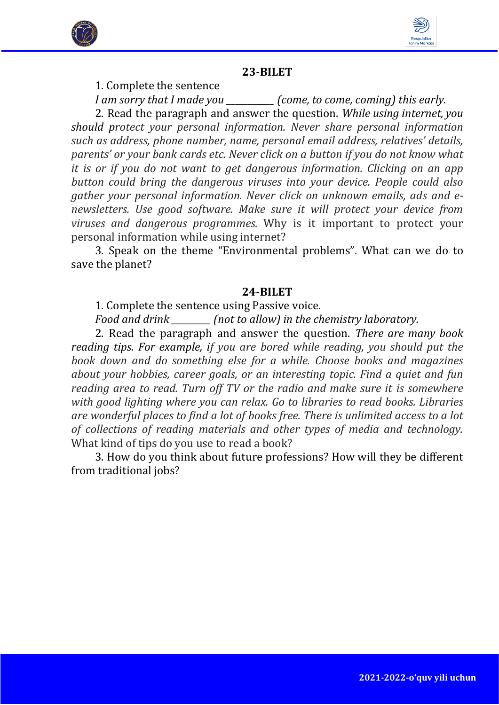



1. Complete the sentence

*I am sorry that I made you \_\_\_\_\_\_\_\_\_\_\_ (come, to come, coming) this early.* 2. Read the paragraph and answer the question. *While using internet, you should protect your personal information. Never share personal information such as address, phone number, name, personal email address, relatives' details, parents' or your bank cards etc. Never click on a button if you do not know what it is or if you do not want to get dangerous information. Clicking on an app button could bring the dangerous viruses into your device. People could also gather your personal information. Never click on unknown emails, ads and enewsletters. Use good software. Make sure it will protect your device from viruses and dangerous programmes.* Why is it important to protect your personal information while using internet?

3. Speak on the theme "Environmental problems". What can we do to save the planet?

#### **24-BILET**

1. Complete the sentence using Passive voice.

*Food and drink \_\_\_\_\_\_\_\_\_ (not to allow) in the chemistry laboratory.*

2. Read the paragraph and answer the question. *There are many book reading tips. For example, if you are bored while reading, you should put the book down and do something else for a while. Choose books and magazines about your hobbies, career goals, or an interesting topic. Find a quiet and fun reading area to read. Turn off TV or the radio and make sure it is somewhere with good lighting where you can relax. Go to libraries to read books. Libraries are wonderful places to find a lot of books free. There is unlimited access to a lot of collections of reading materials and other types of media and technology.* What kind of tips do you use to read a book?

3. How do you think about future professions? How will they be different from traditional jobs?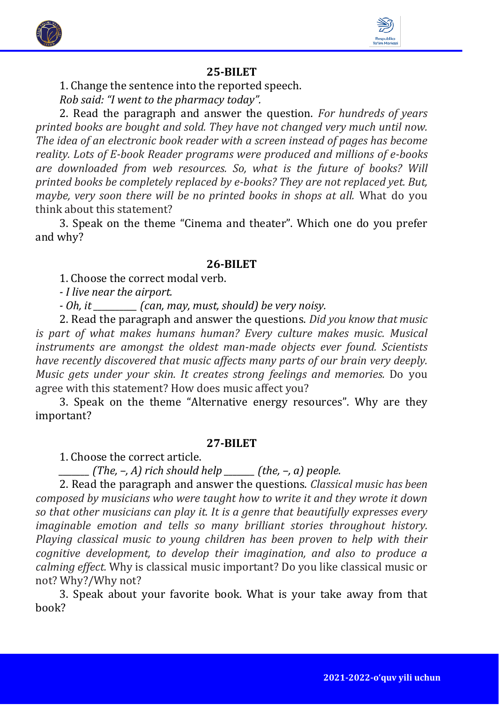



1. Change the sentence into the reported speech.

*Rob said: "I went to the pharmacy today".*

2. Read the paragraph and answer the question. *For hundreds of years printed books are bought and sold. They have not changed very much until now. The idea of an electronic book reader with a screen instead of pages has become reality. Lots of E-book Reader programs were produced and millions of e-books are downloaded from web resources. So, what is the future of books? Will printed books be completely replaced by e-books? They are not replaced yet. But, maybe, very soon there will be no printed books in shops at all.* What do you think about this statement?

3. Speak on the theme "Cinema and theater". Which one do you prefer and why?

# **26-BILET**

1. Choose the correct modal verb.

*- I live near the airport.*

*- Oh, it \_\_\_\_\_\_\_\_\_\_ (can, may, must, should) be very noisy.*

2. Read the paragraph and answer the questions. *Did you know that music is part of what makes humans human? Every culture makes music. Musical instruments are amongst the oldest man-made objects ever found. Scientists have recently discovered that music affects many parts of our brain very deeply. Music gets under your skin. It creates strong feelings and memories.* Do you agree with this statement? How does music affect you?

3. Speak on the theme "Alternative energy resources". Why are they important?

# **27-BILET**

1. Choose the correct article.

*\_\_\_\_\_\_\_ (The, –, A) rich should help \_\_\_\_\_\_\_ (the, –, a) people.*

2. Read the paragraph and answer the questions. *Classical music has been composed by musicians who were taught how to write it and they wrote it down so that other musicians can play it. It is a genre that beautifully expresses every imaginable emotion and tells so many brilliant stories throughout history. Playing classical music to young children has been proven to help with their cognitive development, to develop their imagination, and also to produce a calming effect.* Why is classical music important? Do you like classical music or not? Why?/Why not?

3. Speak about your favorite book. What is your take away from that book?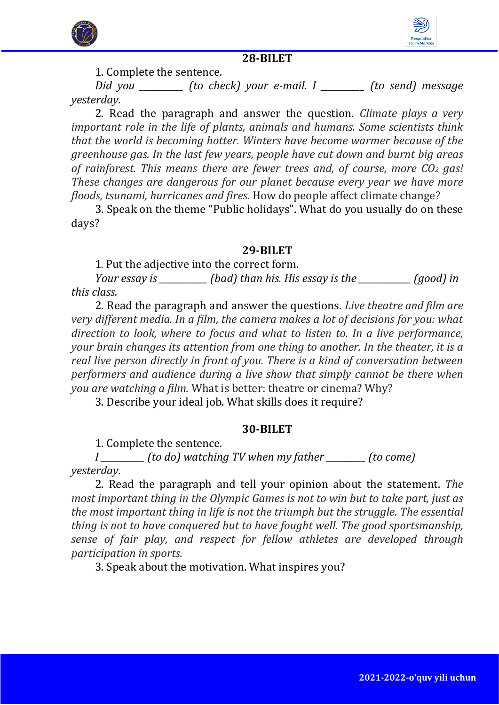



1. Complete the sentence*.* 

*Did you \_\_\_\_\_\_\_\_\_\_ (to check) your e-mail. I \_\_\_\_\_\_\_\_\_\_ (to send) message yesterday.* 

2. Read the paragraph and answer the question. *Climate plays a very important role in the life of plants, animals and humans. Some scientists think that the world is becoming hotter. Winters have become warmer because of the greenhouse gas. In the last few years, people have cut down and burnt big areas of rainforest. This means there are fewer trees and, of course, more CO<sup>2</sup> gas! These changes are dangerous for our planet because every year we have more floods, tsunami, hurricanes and fires.* How do people affect climate change?

3. Speak on the theme "Public holidays". What do you usually do on these days?

## **29-BILET**

1. Put the adjective into the correct form.

*Your essay is \_\_\_\_\_\_\_\_\_\_\_ (bad) than his. His essay is the \_\_\_\_\_\_\_\_\_\_\_\_ (good) in this class.* 

2. Read the paragraph and answer the questions. *Live theatre and film are very different media. In a film, the camera makes a lot of decisions for you: what direction to look, where to focus and what to listen to. In a live performance, your brain changes its attention from one thing to another. In the theater, it is a real live person directly in front of you. There is a kind of conversation between performers and audience during a live show that simply cannot be there when you are watching a film.* What is better: theatre or cinema? Why?

3. Describe your ideal job. What skills does it require?

#### **30-BILET**

1. Complete the sentence*.* 

*I \_\_\_\_\_\_\_\_\_\_ (to do) watching TV when my father \_\_\_\_\_\_\_\_\_ (to come) yesterday.* 

2. Read the paragraph and tell your opinion about the statement. *The most important thing in the Olympic Games is not to win but to take part, just as the most important thing in life is not the triumph but the struggle. The essential thing is not to have conquered but to have fought well. The good sportsmanship, sense of fair play, and respect for fellow athletes are developed through participation in sports.*

3. Speak about the motivation. What inspires you?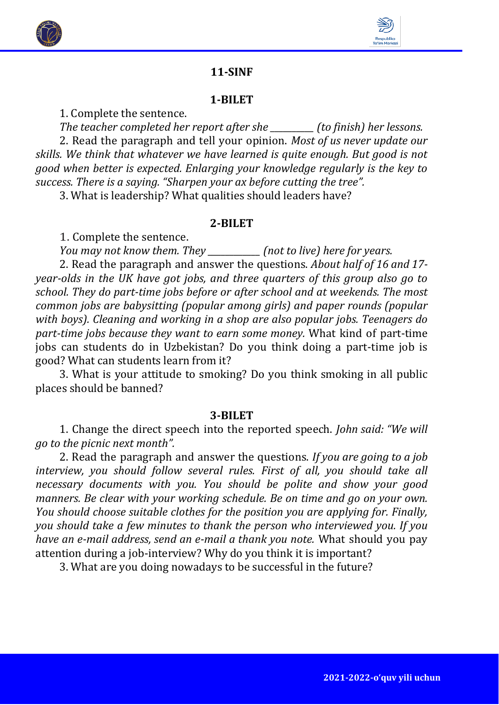



# **11-SINF**

#### **1-BILET**

1. Complete the sentence.

*The teacher completed her report after she \_\_\_\_\_\_\_\_\_\_ (to finish) her lessons.*  2. Read the paragraph and tell your opinion. *Most of us never update our skills. We think that whatever we have learned is quite enough. But good is not good when better is expected. Enlarging your knowledge regularly is the key to success. There is a saying. "Sharpen your ax before cutting the tree".*

3. What is leadership? What qualities should leaders have?

#### **2-BILET**

1. Complete the sentence.

*You may not know them. They \_\_\_\_\_\_\_\_\_\_\_\_ (not to live) here for years.* 

2. Read the paragraph and answer the questions. *About half of 16 and 17 year-olds in the UK have got jobs, and three quarters of this group also go to school. They do part-time jobs before or after school and at weekends. The most common jobs are babysitting (popular among girls) and paper rounds (popular with boys). Cleaning and working in a shop are also popular jobs. Teenagers do part-time jobs because they want to earn some money.* What kind of part-time jobs can students do in Uzbekistan? Do you think doing a part-time job is good? What can students learn from it?

3. What is your attitude to smoking? Do you think smoking in all public places should be banned?

#### **3-BILET**

1. Change the direct speech into the reported speech. *John said: "We will go to the picnic next month".*

2. Read the paragraph and answer the questions. *If you are going to a job interview, you should follow several rules. First of all, you should take all necessary documents with you. You should be polite and show your good manners. Be clear with your working schedule. Be on time and go on your own. You should choose suitable clothes for the position you are applying for. Finally, you should take a few minutes to thank the person who interviewed you. If you have an e-mail address, send an e-mail a thank you note.* What should you pay attention during a job-interview? Why do you think it is important?

3. What are you doing nowadays to be successful in the future?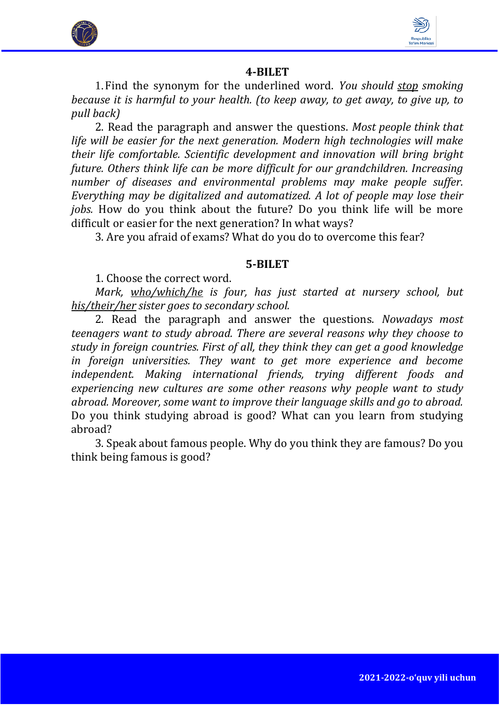



1.Find the synonym for the underlined word. *You should stop smoking because it is harmful to your health. (to keep away, to get away, to give up, to pull back)*

2. Read the paragraph and answer the questions. *Most people think that life will be easier for the next generation. Modern high technologies will make their life comfortable. Scientific development and innovation will bring bright future. Others think life can be more difficult for our grandchildren. Increasing number of diseases and environmental problems may make people suffer. Everything may be digitalized and automatized. A lot of people may lose their jobs.* How do you think about the future? Do you think life will be more difficult or easier for the next generation? In what ways?

3. Are you afraid of exams? What do you do to overcome this fear?

# **5-BILET**

1. Choose the correct word.

*Mark, who/which/he is four, has just started at nursery school, but his/their/her sister goes to secondary school.*

2. Read the paragraph and answer the questions. *Nowadays most teenagers want to study abroad. There are several reasons why they choose to study in foreign countries. First of all, they think they can get a good knowledge in foreign universities. They want to get more experience and become independent. Making international friends, trying different foods and experiencing new cultures are some other reasons why people want to study abroad. Moreover, some want to improve their language skills and go to abroad.* Do you think studying abroad is good? What can you learn from studying abroad?

3. Speak about famous people. Why do you think they are famous? Do you think being famous is good?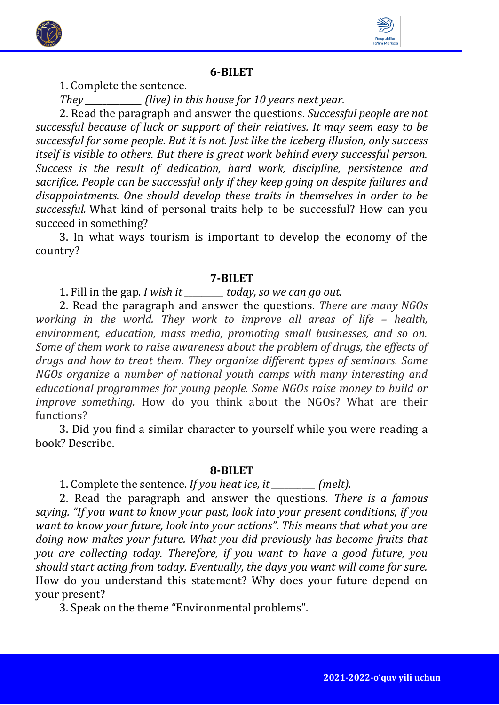



1. Complete the sentence.

*They \_\_\_\_\_\_\_\_\_\_\_\_\_ (live) in this house for 10 years next year.*

2. Read the paragraph and answer the questions. *Successful people are not successful because of luck or support of their relatives. It may seem easy to be successful for some people. But it is not. Just like the iceberg illusion, only success itself is visible to others. But there is great work behind every successful person. Success is the result of dedication, hard work, discipline, persistence and sacrifice. People can be successful only if they keep going on despite failures and disappointments. One should develop these traits in themselves in order to be successful.* What kind of personal traits help to be successful? How can you succeed in something?

3. In what ways tourism is important to develop the economy of the country?

# **7-BILET**

1. Fill in the gap. *I wish it \_\_\_\_\_\_\_\_\_ today, so we can go out.*

2. Read the paragraph and answer the questions. *There are many NGOs working in the world. They work to improve all areas of life – health, environment, education, mass media, promoting small businesses, and so on. Some of them work to raise awareness about the problem of drugs, the effects of drugs and how to treat them. They organize different types of seminars. Some NGOs organize a number of national youth camps with many interesting and educational programmes for young people. Some NGOs raise money to build or improve something.* How do you think about the NGOs? What are their functions?

3. Did you find a similar character to yourself while you were reading a book? Describe.

# **8-BILET**

1. Complete the sentence. *If you heat ice, it \_\_\_\_\_\_\_\_\_\_ (melt).*

2. Read the paragraph and answer the questions. *There is a famous saying. "If you want to know your past, look into your present conditions, if you want to know your future, look into your actions". This means that what you are doing now makes your future. What you did previously has become fruits that you are collecting today. Therefore, if you want to have a good future, you should start acting from today. Eventually, the days you want will come for sure.* How do you understand this statement? Why does your future depend on your present?

3. Speak on the theme "Environmental problems".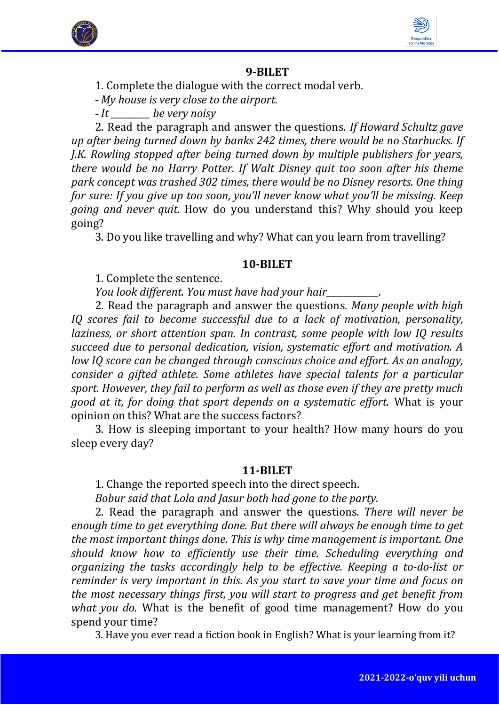



1. Complete the dialogue with the correct modal verb.

- *My house is very close to the airport.* 

- *It \_\_\_\_\_\_\_\_\_ be very noisy*

2. Read the paragraph and answer the questions. *If Howard Schultz gave up after being turned down by banks 242 times, there would be no Starbucks. If J.K. Rowling stopped after being turned down by multiple publishers for years, there would be no Harry Potter. If Walt Disney quit too soon after his theme park concept was trashed 302 times, there would be no Disney resorts. One thing for sure: If you give up too soon, you'll never know what you'll be missing. Keep going and never quit.* How do you understand this? Why should you keep going?

3. Do you like travelling and why? What can you learn from travelling?

# **10-BILET**

1. Complete the sentence.

*You look different. You must have had your hair\_\_\_\_\_\_\_\_\_\_\_\_.*

2. Read the paragraph and answer the questions. *Many people with high IQ scores fail to become successful due to a lack of motivation, personality, laziness, or short attention span. In contrast, some people with low IQ results succeed due to personal dedication, vision, systematic effort and motivation. A low IQ score can be changed through conscious choice and effort. As an analogy, consider a gifted athlete. Some athletes have special talents for a particular sport. However, they fail to perform as well as those even if they are pretty much good at it, for doing that sport depends on a systematic effort.* What is your opinion on this? What are the success factors?

3. How is sleeping important to your health? How many hours do you sleep every day?

# **11-BILET**

1. Change the reported speech into the direct speech.

*Bobur said that Lola and Jasur both had gone to the party.* 

2. Read the paragraph and answer the questions*. There will never be enough time to get everything done. But there will always be enough time to get the most important things done. This is why time management is important. One should know how to efficiently use their time. Scheduling everything and organizing the tasks accordingly help to be effective. Keeping a to-do-list or reminder is very important in this. As you start to save your time and focus on the most necessary things first, you will start to progress and get benefit from what you do.* What is the benefit of good time management? How do you spend your time?

3. Have you ever read a fiction book in English? What is your learning from it?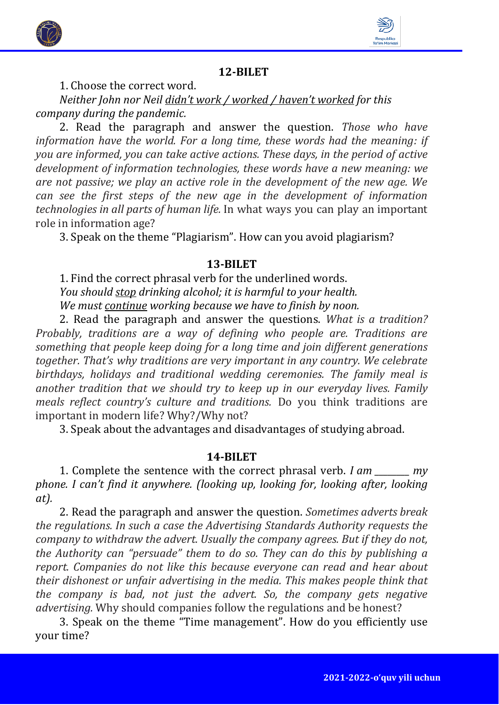



1. Choose the correct word.

*Neither John nor Neil didn't work / worked / haven't worked for this company during the pandemic.* 

2. Read the paragraph and answer the question. *Those who have information have the world. For a long time, these words had the meaning: if you are informed, you can take active actions. These days, in the period of active development of information technologies, these words have a new meaning: we are not passive; we play an active role in the development of the new age. We can see the first steps of the new age in the development of information technologies in all parts of human life.* In what ways you can play an important role in information age?

3. Speak on the theme "Plagiarism". How can you avoid plagiarism?

# **13-BILET**

1. Find the correct phrasal verb for the underlined words. *You should stop drinking alcohol; it is harmful to your health. We must continue working because we have to finish by noon.* 

2. Read the paragraph and answer the questions. *What is a tradition? Probably, traditions are a way of defining who people are. Traditions are something that people keep doing for a long time and join different generations together. That's why traditions are very important in any country. We celebrate birthdays, holidays and traditional wedding ceremonies. The family meal is another tradition that we should try to keep up in our everyday lives. Family meals reflect country's culture and traditions.* Do you think traditions are important in modern life? Why?/Why not?

3. Speak about the advantages and disadvantages of studying abroad.

# **14-BILET**

1. Complete the sentence with the correct phrasal verb. *I am \_\_\_\_\_\_\_\_ my phone. I can't find it anywhere. (looking up, looking for, looking after, looking at).*

2. Read the paragraph and answer the question. *Sometimes adverts break the regulations. In such a case the Advertising Standards Authority requests the company to withdraw the advert. Usually the company agrees. But if they do not, the Authority can "persuade" them to do so. They can do this by publishing a report. Companies do not like this because everyone can read and hear about their dishonest or unfair advertising in the media. This makes people think that the company is bad, not just the advert. So, the company gets negative advertising.* Why should companies follow the regulations and be honest?

3. Speak on the theme "Time management". How do you efficiently use your time?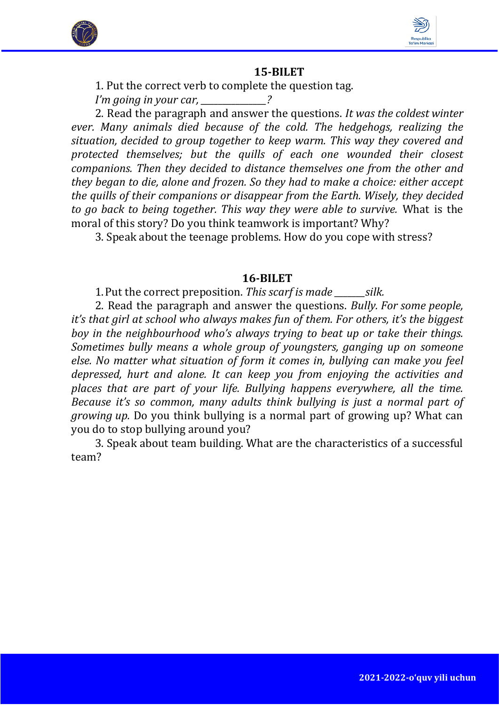



1. Put the correct verb to complete the question tag.

*I'm going in your car, \_\_\_\_\_\_\_\_\_\_\_\_\_\_\_?*

2. Read the paragraph and answer the questions. *It was the coldest winter ever. Many animals died because of the cold. The hedgehogs, realizing the situation, decided to group together to keep warm. This way they covered and protected themselves; but the quills of each one wounded their closest companions. Then they decided to distance themselves one from the other and they began to die, alone and frozen. So they had to make a choice: either accept the quills of their companions or disappear from the Earth. Wisely, they decided to go back to being together. This way they were able to survive.* What is the moral of this story? Do you think teamwork is important? Why?

3. Speak about the teenage problems. How do you cope with stress?

#### **16-BILET**

1.Put the correct preposition. *This scarf is made \_\_\_\_\_\_\_silk.*

2. Read the paragraph and answer the questions. *Bully. For some people, it's that girl at school who always makes fun of them. For others, it's the biggest boy in the neighbourhood who's always trying to beat up or take their things. Sometimes bully means a whole group of youngsters, ganging up on someone else. No matter what situation of form it comes in, bullying can make you feel depressed, hurt and alone. It can keep you from enjoying the activities and places that are part of your life. Bullying happens everywhere, all the time. Because it's so common, many adults think bullying is just a normal part of growing up.* Do you think bullying is a normal part of growing up? What can you do to stop bullying around you?

3. Speak about team building. What are the characteristics of a successful team?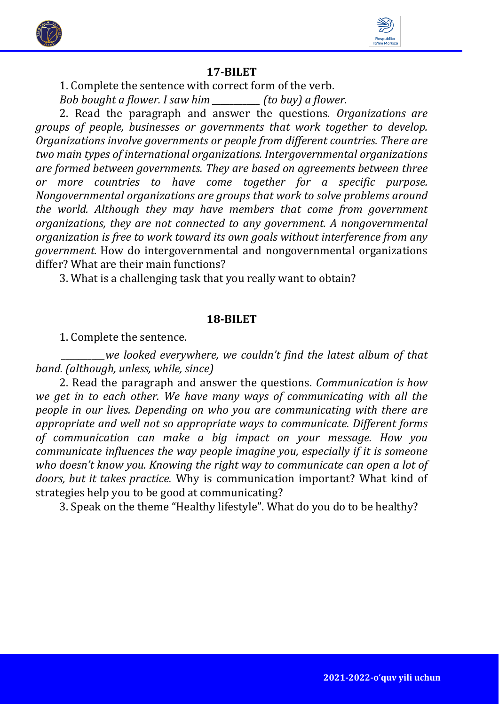



1. Complete the sentence with correct form of the verb.

*Bob bought a flower. I saw him \_\_\_\_\_\_\_\_\_\_\_ (to buy) a flower.* 

2. Read the paragraph and answer the questions. *Organizations are groups of people, businesses or governments that work together to develop. Organizations involve governments or people from different countries. There are two main types of international organizations. Intergovernmental organizations are formed between governments. They are based on agreements between three or more countries to have come together for a specific purpose. Nongovernmental organizations are groups that work to solve problems around the world. Although they may have members that come from government organizations, they are not connected to any government. A nongovernmental organization is free to work toward its own goals without interference from any government.* How do intergovernmental and nongovernmental organizations differ? What are their main functions?

3. What is a challenging task that you really want to obtain?

#### **18-BILET**

1. Complete the sentence.

*\_\_\_\_\_\_\_\_\_\_we looked everywhere, we couldn't find the latest album of that band. (although, unless, while, since)*

2. Read the paragraph and answer the questions. *Communication is how we get in to each other. We have many ways of communicating with all the people in our lives. Depending on who you are communicating with there are appropriate and well not so appropriate ways to communicate. Different forms of communication can make a big impact on your message. How you communicate influences the way people imagine you, especially if it is someone who doesn't know you. Knowing the right way to communicate can open a lot of doors, but it takes practice.* Why is communication important? What kind of strategies help you to be good at communicating?

3. Speak on the theme "Healthy lifestyle". What do you do to be healthy?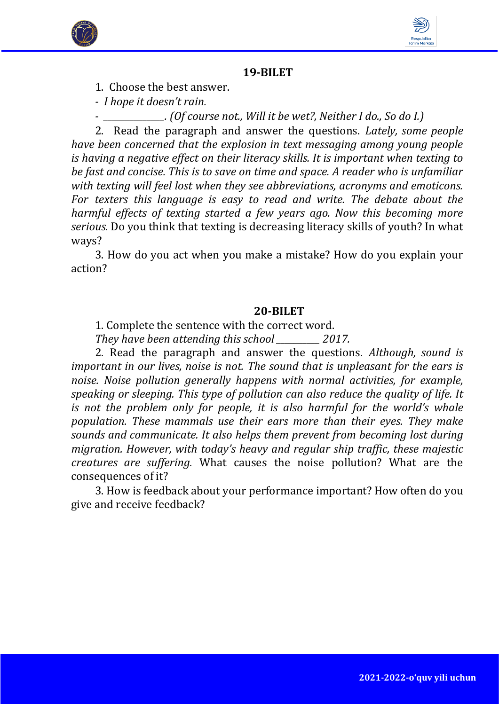



1. Choose the best answer.

*- I hope it doesn't rain.* 

*- \_\_\_\_\_\_\_\_\_\_\_\_\_\_. (Of course not., Will it be wet?, Neither I do., So do I.)*

2. Read the paragraph and answer the questions. *Lately, some people have been concerned that the explosion in text messaging among young people is having a negative effect on their literacy skills. It is important when texting to be fast and concise. This is to save on time and space. A reader who is unfamiliar with texting will feel lost when they see abbreviations, acronyms and emoticons. For texters this language is easy to read and write. The debate about the harmful effects of texting started a few years ago. Now this becoming more serious.* Do you think that texting is decreasing literacy skills of youth? In what ways?

3. How do you act when you make a mistake? How do you explain your action?

# **20-BILET**

1. Complete the sentence with the correct word.

*They have been attending this school \_\_\_\_\_\_\_\_\_\_ 2017.* 

2. Read the paragraph and answer the questions. *Although, sound is important in our lives, noise is not. The sound that is unpleasant for the ears is noise. Noise pollution generally happens with normal activities, for example, speaking or sleeping. This type of pollution can also reduce the quality of life. It is not the problem only for people, it is also harmful for the world's whale population. These mammals use their ears more than their eyes. They make sounds and communicate. It also helps them prevent from becoming lost during migration. However, with today's heavy and regular ship traffic, these majestic creatures are suffering.* What causes the noise pollution? What are the consequences of it?

3. How is feedback about your performance important? How often do you give and receive feedback?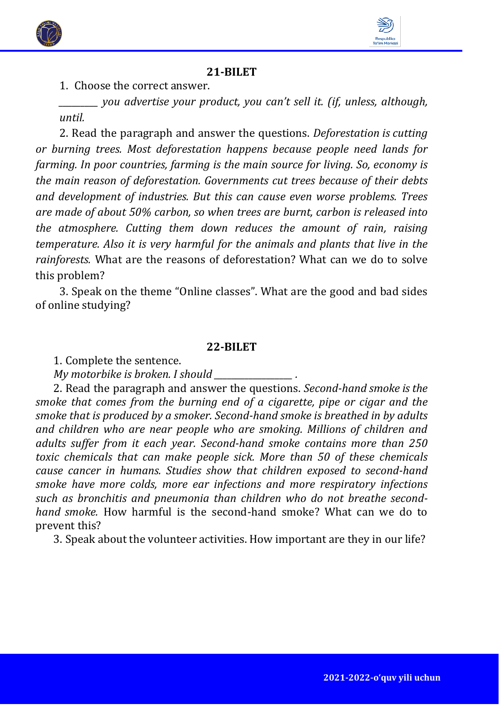



1. Choose the correct answer.

*\_\_\_\_\_\_\_\_\_ you advertise your product, you can't sell it. (if, unless, although, until.*

2. Read the paragraph and answer the questions. *Deforestation is cutting or burning trees. Most deforestation happens because people need lands for farming. In poor countries, farming is the main source for living. So, economy is the main reason of deforestation. Governments cut trees because of their debts and development of industries. But this can cause even worse problems. Trees are made of about 50% carbon, so when trees are burnt, carbon is released into the atmosphere. Cutting them down reduces the amount of rain, raising temperature. Also it is very harmful for the animals and plants that live in the rainforests.* What are the reasons of deforestation? What can we do to solve this problem?

3. Speak on the theme "Online classes". What are the good and bad sides of online studying?

#### **22-BILET**

1. Complete the sentence.

*My motorbike is broken. I should \_\_\_\_\_\_\_\_\_\_\_\_\_\_\_\_\_\_ .*

2. Read the paragraph and answer the questions. *Second-hand smoke is the smoke that comes from the burning end of a cigarette, pipe or cigar and the smoke that is produced by a smoker. Second-hand smoke is breathed in by adults and children who are near people who are smoking. Millions of children and adults suffer from it each year. Second-hand smoke contains more than 250 toxic chemicals that can make people sick. More than 50 of these chemicals cause cancer in humans. Studies show that children exposed to second-hand smoke have more colds, more ear infections and more respiratory infections such as bronchitis and pneumonia than children who do not breathe secondhand smoke.* How harmful is the second-hand smoke? What can we do to prevent this?

3. Speak about the volunteer activities. How important are they in our life?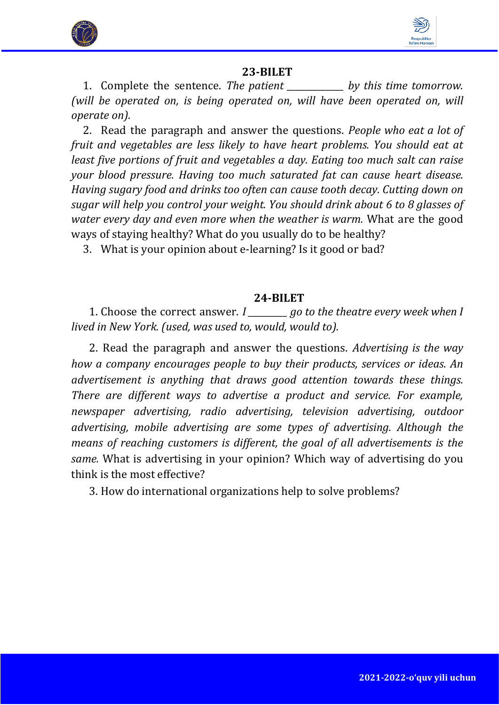



1. Complete the sentence. *The patient \_\_\_\_\_\_\_\_\_\_\_\_\_ by this time tomorrow. (will be operated on, is being operated on, will have been operated on, will operate on).*

2. Read the paragraph and answer the questions. *People who eat a lot of fruit and vegetables are less likely to have heart problems. You should eat at least five portions of fruit and vegetables a day. Eating too much salt can raise your blood pressure. Having too much saturated fat can cause heart disease. Having sugary food and drinks too often can cause tooth decay. Cutting down on sugar will help you control your weight. You should drink about 6 to 8 glasses of water every day and even more when the weather is warm.* What are the good ways of staying healthy? What do you usually do to be healthy?

3. What is your opinion about e-learning? Is it good or bad?

#### **24-BILET**

1. Choose the correct answer. *I \_\_\_\_\_\_\_\_\_ go to the theatre every week when I lived in New York. (used, was used to, would, would to).*

2. Read the paragraph and answer the questions. *Advertising is the way how a company encourages people to buy their products, services or ideas. An advertisement is anything that draws good attention towards these things. There are different ways to advertise a product and service. For example, newspaper advertising, radio advertising, television advertising, outdoor advertising, mobile advertising are some types of advertising. Although the means of reaching customers is different, the goal of all advertisements is the same.* What is advertising in your opinion? Which way of advertising do you think is the most effective?

3. How do international organizations help to solve problems?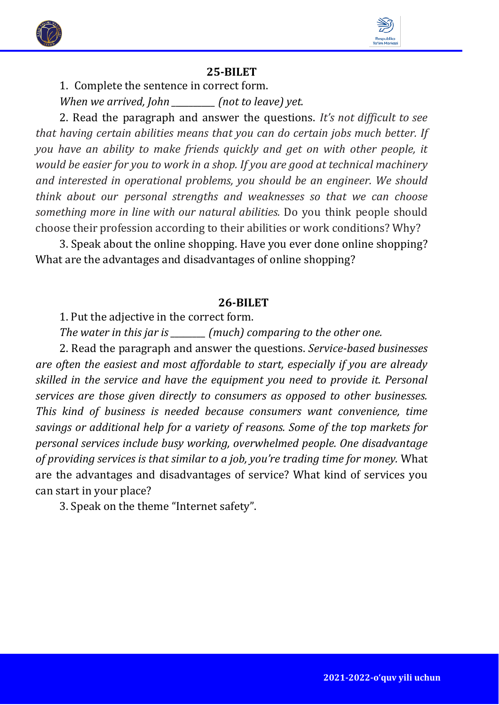



1. Complete the sentence in correct form.

*When we arrived, John \_\_\_\_\_\_\_\_\_\_ (not to leave) yet.* 

2. Read the paragraph and answer the questions. *It's not difficult to see that having certain abilities means that you can do certain jobs much better. If you have an ability to make friends quickly and get on with other people, it would be easier for you to work in a shop. If you are good at technical machinery and interested in operational problems, you should be an engineer. We should think about our personal strengths and weaknesses so that we can choose something more in line with our natural abilities.* Do you think people should choose their profession according to their abilities or work conditions? Why?

3. Speak about the online shopping. Have you ever done online shopping? What are the advantages and disadvantages of online shopping?

#### **26-BILET**

1. Put the adjective in the correct form.

*The water in this jar is \_\_\_\_\_\_\_\_ (much) comparing to the other one.* 

2. Read the paragraph and answer the questions. *Service-based businesses are often the easiest and most affordable to start, especially if you are already skilled in the service and have the equipment you need to provide it. Personal services are those given directly to consumers as opposed to other businesses. This kind of business is needed because consumers want convenience, time savings or additional help for a variety of reasons. Some of the top markets for personal services include busy working, overwhelmed people. One disadvantage of providing services is that similar to a job, you're trading time for money.* What are the advantages and disadvantages of service? What kind of services you can start in your place?

3. Speak on the theme "Internet safety".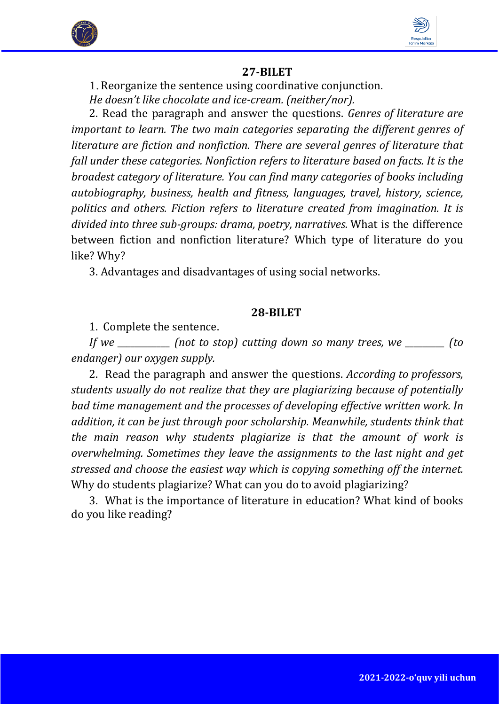



1.Reorganize the sentence using coordinative conjunction. *He doesn't like chocolate and ice-cream. (neither/nor).* 

2. Read the paragraph and answer the questions. *Genres of literature are important to learn. The two main categories separating the different genres of literature are fiction and nonfiction. There are several genres of literature that fall under these categories. Nonfiction refers to literature based on facts. It is the broadest category of literature. You can find many categories of books including autobiography, business, health and fitness, languages, travel, history, science, politics and others. Fiction refers to literature created from imagination. It is divided into three sub-groups: drama, poetry, narratives.* What is the difference between fiction and nonfiction literature? Which type of literature do you like? Why?

3. Advantages and disadvantages of using social networks.

## **28-BILET**

1. Complete the sentence.

*If we \_\_\_\_\_\_\_\_\_\_\_\_ (not to stop) cutting down so many trees, we \_\_\_\_\_\_\_\_\_ (to endanger) our oxygen supply.* 

2. Read the paragraph and answer the questions. *According to professors, students usually do not realize that they are plagiarizing because of potentially bad time management and the processes of developing effective written work. In addition, it can be just through poor scholarship. Meanwhile, students think that the main reason why students plagiarize is that the amount of work is overwhelming. Sometimes they leave the assignments to the last night and get stressed and choose the easiest way which is copying something off the internet.*  Why do students plagiarize? What can you do to avoid plagiarizing?

3. What is the importance of literature in education? What kind of books do you like reading?